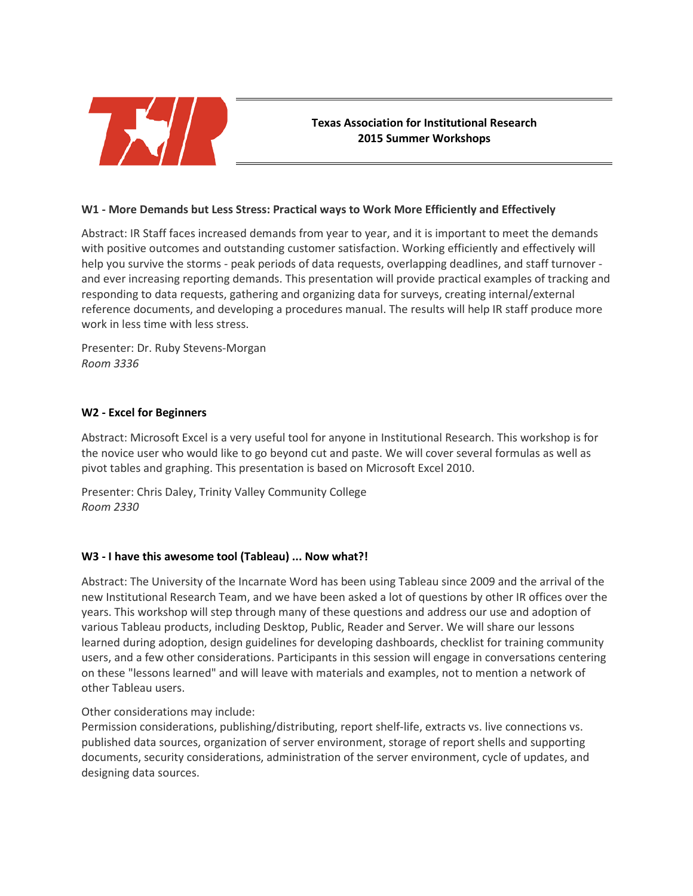

# **Texas Association for Institutional Research 2015 Summer Workshops**

## **W1 - More Demands but Less Stress: Practical ways to Work More Efficiently and Effectively**

Abstract: IR Staff faces increased demands from year to year, and it is important to meet the demands with positive outcomes and outstanding customer satisfaction. Working efficiently and effectively will help you survive the storms - peak periods of data requests, overlapping deadlines, and staff turnover and ever increasing reporting demands. This presentation will provide practical examples of tracking and responding to data requests, gathering and organizing data for surveys, creating internal/external reference documents, and developing a procedures manual. The results will help IR staff produce more work in less time with less stress.

Presenter: Dr. Ruby Stevens-Morgan *Room 3336*

## **W2 - Excel for Beginners**

Abstract: Microsoft Excel is a very useful tool for anyone in Institutional Research. This workshop is for the novice user who would like to go beyond cut and paste. We will cover several formulas as well as pivot tables and graphing. This presentation is based on Microsoft Excel 2010.

Presenter: Chris Daley, Trinity Valley Community College *Room 2330*

## **W3 - I have this awesome tool (Tableau) ... Now what?!**

Abstract: The University of the Incarnate Word has been using Tableau since 2009 and the arrival of the new Institutional Research Team, and we have been asked a lot of questions by other IR offices over the years. This workshop will step through many of these questions and address our use and adoption of various Tableau products, including Desktop, Public, Reader and Server. We will share our lessons learned during adoption, design guidelines for developing dashboards, checklist for training community users, and a few other considerations. Participants in this session will engage in conversations centering on these "lessons learned" and will leave with materials and examples, not to mention a network of other Tableau users.

# Other considerations may include:

Permission considerations, publishing/distributing, report shelf-life, extracts vs. live connections vs. published data sources, organization of server environment, storage of report shells and supporting documents, security considerations, administration of the server environment, cycle of updates, and designing data sources.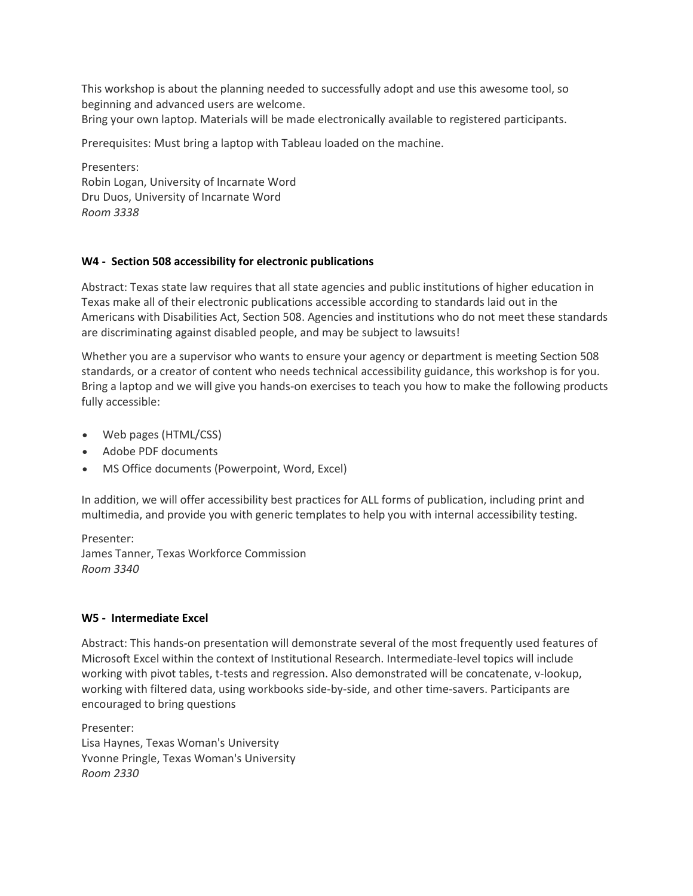This workshop is about the planning needed to successfully adopt and use this awesome tool, so beginning and advanced users are welcome.

Bring your own laptop. Materials will be made electronically available to registered participants.

Prerequisites: Must bring a laptop with Tableau loaded on the machine.

Presenters: Robin Logan, University of Incarnate Word Dru Duos, University of Incarnate Word *Room 3338*

## **W4 - Section 508 accessibility for electronic publications**

Abstract: Texas state law requires that all state agencies and public institutions of higher education in Texas make all of their electronic publications accessible according to standards laid out in the Americans with Disabilities Act, Section 508. Agencies and institutions who do not meet these standards are discriminating against disabled people, and may be subject to lawsuits!

Whether you are a supervisor who wants to ensure your agency or department is meeting Section 508 standards, or a creator of content who needs technical accessibility guidance, this workshop is for you. Bring a laptop and we will give you hands-on exercises to teach you how to make the following products fully accessible:

- Web pages (HTML/CSS)
- Adobe PDF documents
- MS Office documents (Powerpoint, Word, Excel)

In addition, we will offer accessibility best practices for ALL forms of publication, including print and multimedia, and provide you with generic templates to help you with internal accessibility testing.

Presenter: James Tanner, Texas Workforce Commission *Room 3340*

#### **W5 - Intermediate Excel**

Abstract: This hands-on presentation will demonstrate several of the most frequently used features of Microsoft Excel within the context of Institutional Research. Intermediate-level topics will include working with pivot tables, t-tests and regression. Also demonstrated will be concatenate, v-lookup, working with filtered data, using workbooks side-by-side, and other time-savers. Participants are encouraged to bring questions

Presenter: Lisa Haynes, Texas Woman's University Yvonne Pringle, Texas Woman's University *Room 2330*